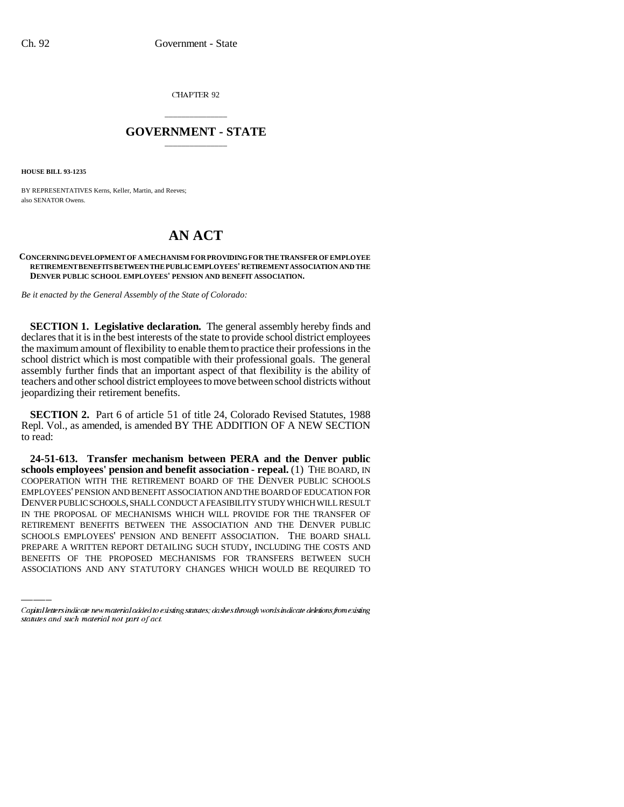CHAPTER 92

## \_\_\_\_\_\_\_\_\_\_\_\_\_\_\_ **GOVERNMENT - STATE** \_\_\_\_\_\_\_\_\_\_\_\_\_\_\_

**HOUSE BILL 93-1235**

BY REPRESENTATIVES Kerns, Keller, Martin, and Reeves; also SENATOR Owens.

## **AN ACT**

## **CONCERNING DEVELOPMENT OF A MECHANISM FOR PROVIDING FOR THE TRANSFER OF EMPLOYEE RETIREMENT BENEFITS BETWEEN THE PUBLIC EMPLOYEES' RETIREMENT ASSOCIATION AND THE DENVER PUBLIC SCHOOL EMPLOYEES' PENSION AND BENEFIT ASSOCIATION.**

*Be it enacted by the General Assembly of the State of Colorado:*

**SECTION 1. Legislative declaration.** The general assembly hereby finds and declares that it is in the best interests of the state to provide school district employees the maximum amount of flexibility to enable them to practice their professions in the school district which is most compatible with their professional goals. The general assembly further finds that an important aspect of that flexibility is the ability of teachers and other school district employees to move between school districts without jeopardizing their retirement benefits.

**SECTION 2.** Part 6 of article 51 of title 24, Colorado Revised Statutes, 1988 Repl. Vol., as amended, is amended BY THE ADDITION OF A NEW SECTION to read:

RETIREMENT BENEFITS BETWEEN THE ASSOCIATION AND THE DENVER PUBLIC **24-51-613. Transfer mechanism between PERA and the Denver public schools employees' pension and benefit association - repeal.** (1) THE BOARD, IN COOPERATION WITH THE RETIREMENT BOARD OF THE DENVER PUBLIC SCHOOLS EMPLOYEES' PENSION AND BENEFIT ASSOCIATION AND THE BOARD OF EDUCATION FOR DENVER PUBLIC SCHOOLS, SHALL CONDUCT A FEASIBILITY STUDY WHICH WILL RESULT IN THE PROPOSAL OF MECHANISMS WHICH WILL PROVIDE FOR THE TRANSFER OF SCHOOLS EMPLOYEES' PENSION AND BENEFIT ASSOCIATION. THE BOARD SHALL PREPARE A WRITTEN REPORT DETAILING SUCH STUDY, INCLUDING THE COSTS AND BENEFITS OF THE PROPOSED MECHANISMS FOR TRANSFERS BETWEEN SUCH ASSOCIATIONS AND ANY STATUTORY CHANGES WHICH WOULD BE REQUIRED TO

Capital letters indicate new material added to existing statutes; dashes through words indicate deletions from existing statutes and such material not part of act.